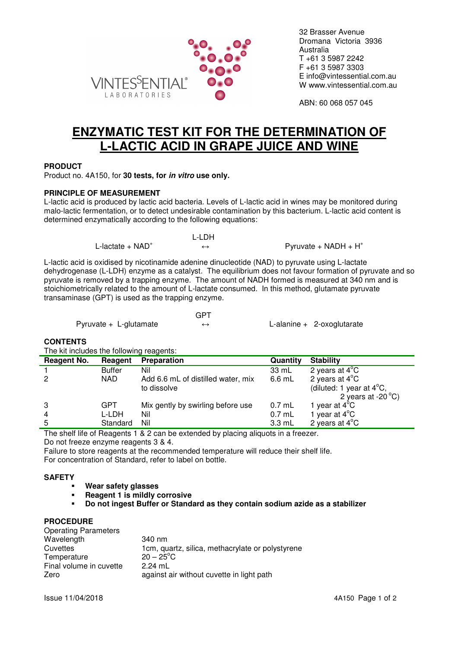

32 Brasser Avenue Dromana Victoria 3936 Australia T +61 3 5987 2242 F +61 3 5987 3303 E info@vintessential.com.au W www.vintessential.com.au

ABN: 60 068 057 045

# **ENZYMATIC TEST KIT FOR THE DETERMINATION OF L-LACTIC ACID IN GRAPE JUICE AND WINE**

## **PRODUCT**

Product no. 4A150, for **30 tests, for in vitro use only.** 

## **PRINCIPLE OF MEASUREMENT**

L-lactic acid is produced by lactic acid bacteria. Levels of L-lactic acid in wines may be monitored during malo-lactic fermentation, or to detect undesirable contamination by this bacterium. L-lactic acid content is determined enzymatically according to the following equations:

> L-LDH L-lactate + NAD<sup>+</sup>  $\leftrightarrow$  Pyruvate + NADH + H<sup>+</sup>

L-lactic acid is oxidised by nicotinamide adenine dinucleotide (NAD) to pyruvate using L-lactate dehydrogenase (L-LDH) enzyme as a catalyst. The equilibrium does not favour formation of pyruvate and so pyruvate is removed by a trapping enzyme. The amount of NADH formed is measured at 340 nm and is stoichiometrically related to the amount of L-lactate consumed. In this method, glutamate pyruvate transaminase (GPT) is used as the trapping enzyme.

|                         | GPT |                              |
|-------------------------|-----|------------------------------|
| $Pyrvate + L-glutamate$ |     | L-alanine $+$ 2-oxoglutarate |

## **CONTENTS**

The kit includes the following reagents:

| <b>Reagent No.</b> | Reagent       | <b>Preparation</b>                 | Quantity         | <b>Stability</b>                      |
|--------------------|---------------|------------------------------------|------------------|---------------------------------------|
|                    | <b>Buffer</b> | Nil                                | 33 mL            | 2 years at $4^{\circ}$ C              |
| $\overline{2}$     | NAD.          | Add 6.6 mL of distilled water, mix | 6.6 mL           | 2 years at $4^{\circ}$ C              |
|                    |               | to dissolve                        |                  | (diluted: 1 year at $4^{\circ}C$ ,    |
|                    |               |                                    |                  | 2 years at -20 $\mathrm{^{\circ}C}$ ) |
| 3                  | GPT           | Mix gently by swirling before use  | $0.7$ mL         | $'$ year at 4 $^{\circ}$ C            |
| $\overline{4}$     | L-LDH         | Nil                                | $0.7$ mL         | 1 year at $4^{\circ}$ C               |
| 5                  | Standard      | Nil                                | $3.3 \text{ mL}$ | 2 years at $4^{\circ}$ C              |

The shelf life of Reagents 1 & 2 can be extended by placing aliquots in a freezer. Do not freeze enzyme reagents 3 & 4.

Failure to store reagents at the recommended temperature will reduce their shelf life. For concentration of Standard, refer to label on bottle.

## **SAFETY**

- **Wear safety glasses**
- **Reagent 1 is mildly corrosive**
- **Do not ingest Buffer or Standard as they contain sodium azide as a stabilizer**

#### **PROCEDURE**

| 340 nm                                           |
|--------------------------------------------------|
| 1cm, quartz, silica, methacrylate or polystyrene |
| $20 - 25^{\circ}$ C                              |
| $2.24$ mL                                        |
| against air without cuvette in light path        |
|                                                  |